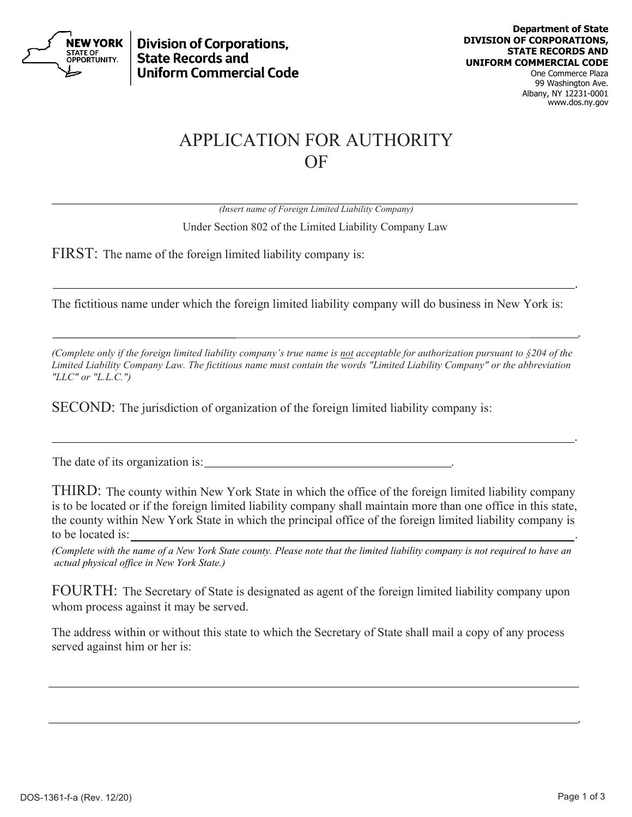

**Division of Corporations. State Records and Uniform Commercial Code** 

One Commerce Plaza 99 Washington Ave. Albany, NY 12231-0001 www.dos.ny.gov

## APPLICATION FOR AUTHORITY OF

*(Insert name of Foreign Limited Liability Company)* Under Section 802 of the Limited Liability Company Law

FIRST: The name of the foreign limited liability company is:

The fictitious name under which the foreign limited liability company will do business in New York is:

.

*(Complete only if the foreign limited liability company's true name is not acceptable for authorization pursuant to §204 of the Limited Liability Company Law. The fictitious name must contain the words "Limited Liability Company" or the abbreviation "LLC" or "L.L.C.")*

.

SECOND: The jurisdiction of organization of the foreign limited liability company is:

The date of its organization is:

THIRD: The county within New York State in which the office of the foreign limited liability company is to be located or if the foreign limited liability company shall maintain more than one office in this state, the county within New York State in which the principal office of the foreign limited liability company is to be located is:

.

*(Complete with the name of a New York State county. Please note that the limited liability company is not required to have an actual physical office in New York State.)*

FOURTH: The Secretary of State is designated as agent of the foreign limited liability company upon whom process against it may be served.

The address within or without this state to which the Secretary of State shall mail a copy of any process served against him or her is:

.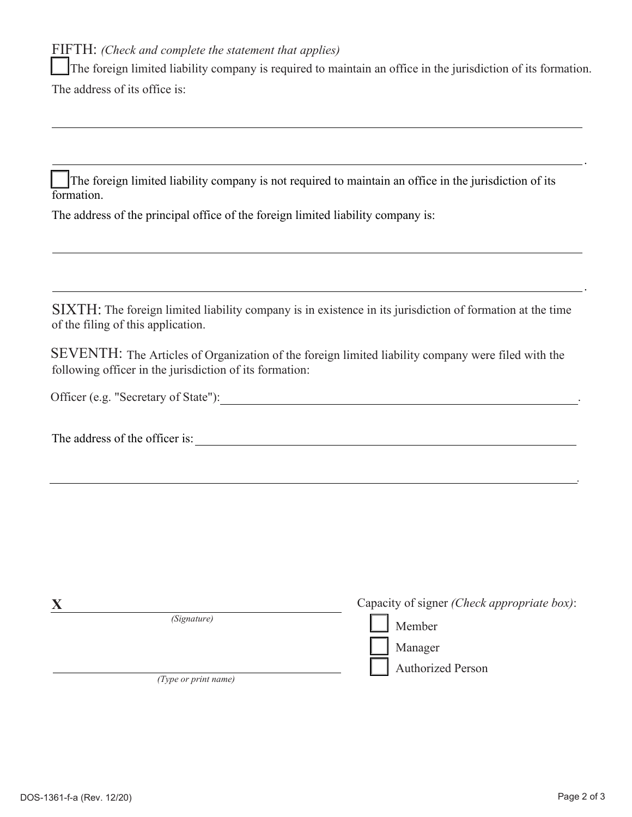FIFTH: *(Check and complete the statement that applies)*

 The foreign limited liability company is required to maintain an office in the jurisdiction of its formation. The address of its office is:

 The foreign limited liability company is not required to maintain an office in the jurisdiction of its formation.

The address of the principal office of the foreign limited liability company is:

SIXTH: The foreign limited liability company is in existence in its jurisdiction of formation at the time of the filing of this application.

SEVENTH: The Articles of Organization of the foreign limited liability company were filed with the following officer in the jurisdiction of its formation:

Officer (e.g. "Secretary of State"):

The address of the officer is:  $\qquad \qquad$ 

|                      | Capacity of signer <i>(Check appropriate box)</i> : |
|----------------------|-----------------------------------------------------|
| (Signature)          | Member                                              |
|                      | Manager                                             |
|                      | <b>Authorized Person</b>                            |
| (Type or print name) |                                                     |

 $\overline{\phantom{a}}$ .

.

.